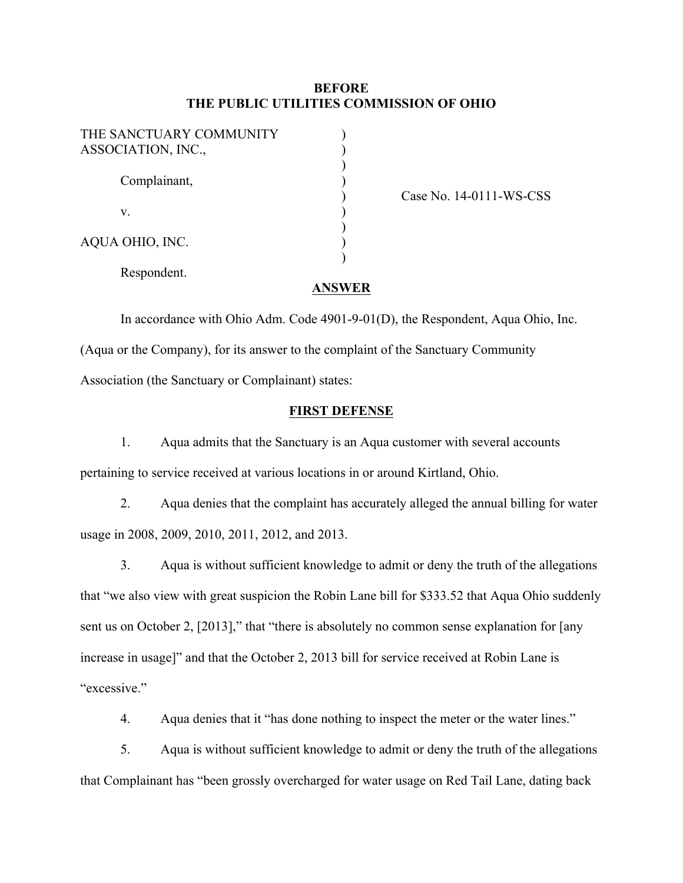## **BEFORE THE PUBLIC UTILITIES COMMISSION OF OHIO**

| THE SANCTUARY COMMUNITY<br>ASSOCIATION, INC., |  |
|-----------------------------------------------|--|
| Complainant,                                  |  |
| V.                                            |  |
| AQUA OHIO, INC.                               |  |
| Respondent.                                   |  |

Case No. 14-0111-WS-CSS

### **ANSWER**

In accordance with Ohio Adm. Code 4901-9-01(D), the Respondent, Aqua Ohio, Inc. (Aqua or the Company), for its answer to the complaint of the Sanctuary Community Association (the Sanctuary or Complainant) states:

## **FIRST DEFENSE**

1. Aqua admits that the Sanctuary is an Aqua customer with several accounts pertaining to service received at various locations in or around Kirtland, Ohio.

2. Aqua denies that the complaint has accurately alleged the annual billing for water usage in 2008, 2009, 2010, 2011, 2012, and 2013.

3. Aqua is without sufficient knowledge to admit or deny the truth of the allegations that "we also view with great suspicion the Robin Lane bill for \$333.52 that Aqua Ohio suddenly sent us on October 2, [2013]," that "there is absolutely no common sense explanation for [any increase in usage]" and that the October 2, 2013 bill for service received at Robin Lane is "excessive."

4. Aqua denies that it "has done nothing to inspect the meter or the water lines."

5. Aqua is without sufficient knowledge to admit or deny the truth of the allegations that Complainant has "been grossly overcharged for water usage on Red Tail Lane, dating back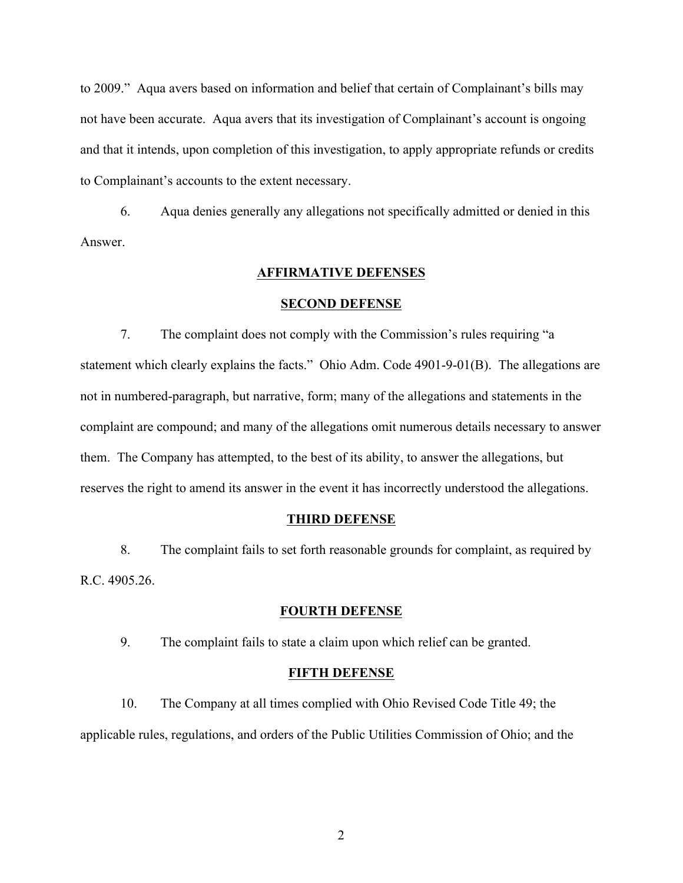to 2009." Aqua avers based on information and belief that certain of Complainant's bills may not have been accurate. Aqua avers that its investigation of Complainant's account is ongoing and that it intends, upon completion of this investigation, to apply appropriate refunds or credits to Complainant's accounts to the extent necessary.

6. Aqua denies generally any allegations not specifically admitted or denied in this Answer.

#### **AFFIRMATIVE DEFENSES**

#### **SECOND DEFENSE**

7. The complaint does not comply with the Commission's rules requiring "a statement which clearly explains the facts." Ohio Adm. Code 4901-9-01(B). The allegations are not in numbered-paragraph, but narrative, form; many of the allegations and statements in the complaint are compound; and many of the allegations omit numerous details necessary to answer them. The Company has attempted, to the best of its ability, to answer the allegations, but reserves the right to amend its answer in the event it has incorrectly understood the allegations.

### **THIRD DEFENSE**

8. The complaint fails to set forth reasonable grounds for complaint, as required by R.C. 4905.26.

#### **FOURTH DEFENSE**

9. The complaint fails to state a claim upon which relief can be granted.

#### **FIFTH DEFENSE**

10. The Company at all times complied with Ohio Revised Code Title 49; the applicable rules, regulations, and orders of the Public Utilities Commission of Ohio; and the

2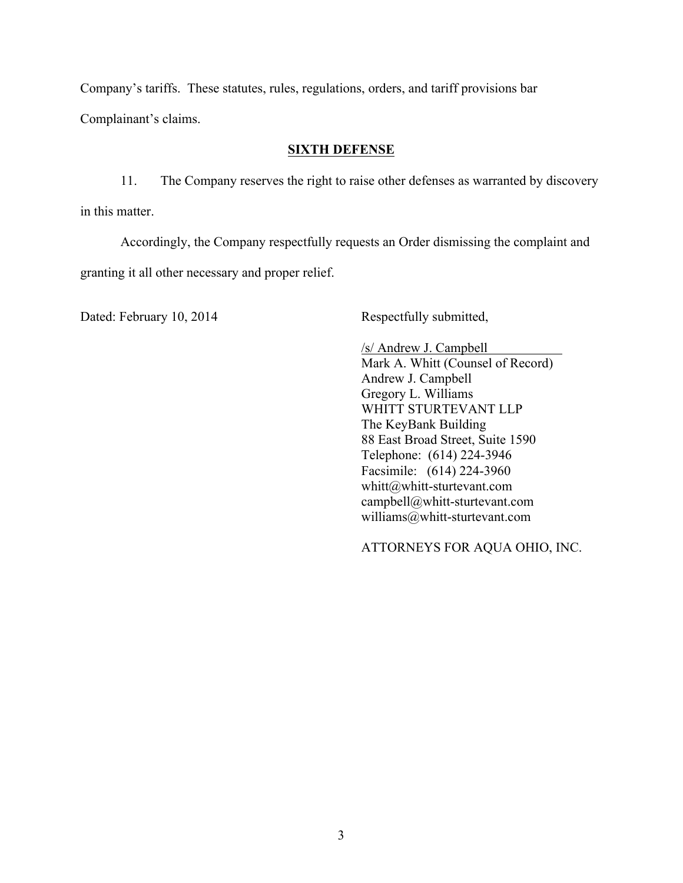Company's tariffs. These statutes, rules, regulations, orders, and tariff provisions bar

Complainant's claims.

# **SIXTH DEFENSE**

11. The Company reserves the right to raise other defenses as warranted by discovery in this matter.

Accordingly, the Company respectfully requests an Order dismissing the complaint and granting it all other necessary and proper relief.

Dated: February 10, 2014 Respectfully submitted,

/s/ Andrew J. Campbell Mark A. Whitt (Counsel of Record) Andrew J. Campbell Gregory L. Williams WHITT STURTEVANT LLP The KeyBank Building 88 East Broad Street, Suite 1590 Telephone: (614) 224-3946 Facsimile: (614) 224-3960 whitt@whitt-sturtevant.com campbell@whitt-sturtevant.com williams@whitt-sturtevant.com

ATTORNEYS FOR AQUA OHIO, INC.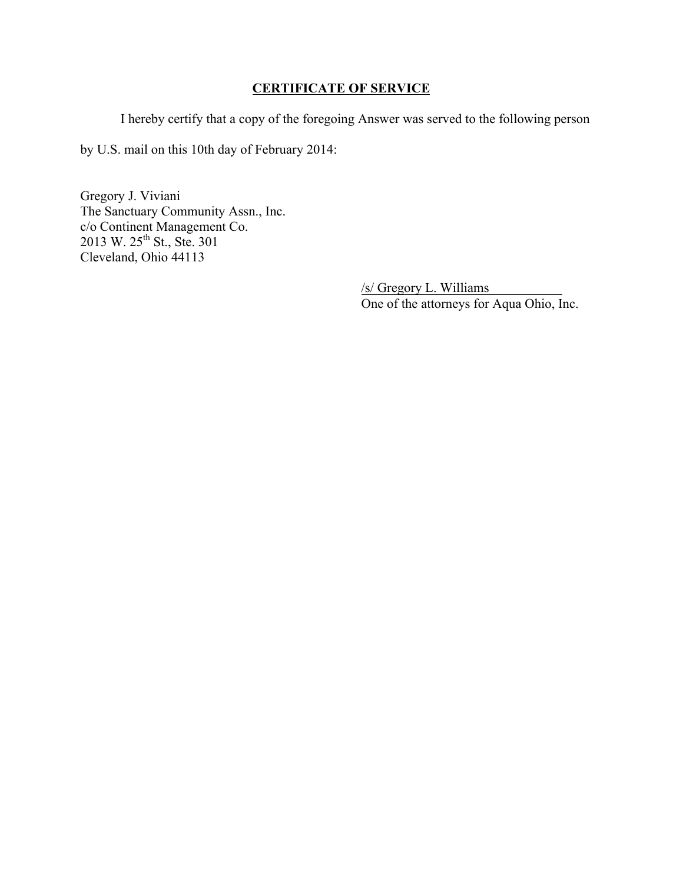# **CERTIFICATE OF SERVICE**

I hereby certify that a copy of the foregoing Answer was served to the following person

by U.S. mail on this 10th day of February 2014:

Gregory J. Viviani The Sanctuary Community Assn., Inc. c/o Continent Management Co. 2013 W. 25<sup>th</sup> St., Ste. 301 Cleveland, Ohio 44113

> /s/ Gregory L. Williams One of the attorneys for Aqua Ohio, Inc.